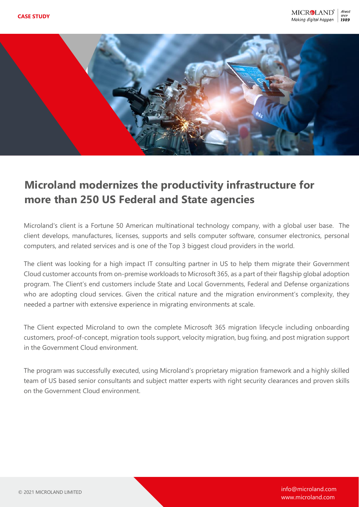

## **Microland modernizes the productivity infrastructure for more than 250 US Federal and State agencies**

Microland's client is a Fortune 50 American multinational technology company, with a global user base. The client develops, manufactures, licenses, supports and sells computer software, consumer electronics, personal computers, and related services and is one of the Top 3 biggest cloud providers in the world.

The client was looking for a high impact IT consulting partner in US to help them migrate their Government Cloud customer accounts from on-premise workloads to Microsoft 365, as a part of their flagship global adoption program. The Client's end customers include State and Local Governments, Federal and Defense organizations who are adopting cloud services. Given the critical nature and the migration environment's complexity, they needed a partner with extensive experience in migrating environments at scale.

The Client expected Microland to own the complete Microsoft 365 migration lifecycle including onboarding customers, proof-of-concept, migration tools support, velocity migration, bug fixing, and post migration support in the Government Cloud environment.

The program was successfully executed, using Microland's proprietary migration framework and a highly skilled team of US based senior consultants and subject matter experts with right security clearances and proven skills on the Government Cloud environment.